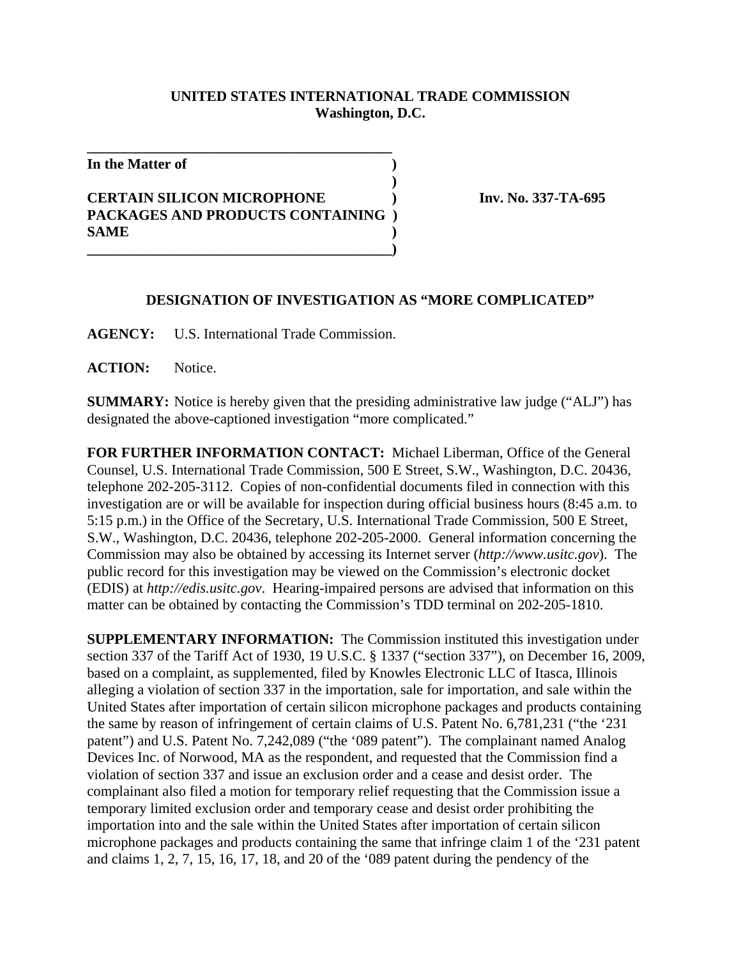## **UNITED STATES INTERNATIONAL TRADE COMMISSION Washington, D.C.**

**)**

**In the Matter of )**

**CERTAIN SILICON MICROPHONE ) Inv. No. 337-TA-695 PACKAGES AND PRODUCTS CONTAINING ) SAME ) \_\_\_\_\_\_\_\_\_\_\_\_\_\_\_\_\_\_\_\_\_\_\_\_\_\_\_\_\_\_\_\_\_\_\_\_\_\_\_\_\_\_)**

**\_\_\_\_\_\_\_\_\_\_\_\_\_\_\_\_\_\_\_\_\_\_\_\_\_\_\_\_\_\_\_\_\_\_\_\_\_\_\_\_\_\_**

## **DESIGNATION OF INVESTIGATION AS "MORE COMPLICATED"**

**AGENCY:** U.S. International Trade Commission.

**ACTION:** Notice.

**SUMMARY:** Notice is hereby given that the presiding administrative law judge ("ALJ") has designated the above-captioned investigation "more complicated."

**FOR FURTHER INFORMATION CONTACT:** Michael Liberman, Office of the General Counsel, U.S. International Trade Commission, 500 E Street, S.W., Washington, D.C. 20436, telephone 202-205-3112. Copies of non-confidential documents filed in connection with this investigation are or will be available for inspection during official business hours (8:45 a.m. to 5:15 p.m.) in the Office of the Secretary, U.S. International Trade Commission, 500 E Street, S.W., Washington, D.C. 20436, telephone 202-205-2000. General information concerning the Commission may also be obtained by accessing its Internet server (*http://www.usitc.gov*). The public record for this investigation may be viewed on the Commission's electronic docket (EDIS) at *http://edis.usitc.gov*. Hearing-impaired persons are advised that information on this matter can be obtained by contacting the Commission's TDD terminal on 202-205-1810.

**SUPPLEMENTARY INFORMATION:** The Commission instituted this investigation under section 337 of the Tariff Act of 1930, 19 U.S.C. § 1337 ("section 337"), on December 16, 2009, based on a complaint, as supplemented, filed by Knowles Electronic LLC of Itasca, Illinois alleging a violation of section 337 in the importation, sale for importation, and sale within the United States after importation of certain silicon microphone packages and products containing the same by reason of infringement of certain claims of U.S. Patent No. 6,781,231 ("the '231 patent") and U.S. Patent No. 7,242,089 ("the '089 patent"). The complainant named Analog Devices Inc. of Norwood, MA as the respondent, and requested that the Commission find a violation of section 337 and issue an exclusion order and a cease and desist order. The complainant also filed a motion for temporary relief requesting that the Commission issue a temporary limited exclusion order and temporary cease and desist order prohibiting the importation into and the sale within the United States after importation of certain silicon microphone packages and products containing the same that infringe claim 1 of the '231 patent and claims 1, 2, 7, 15, 16, 17, 18, and 20 of the '089 patent during the pendency of the